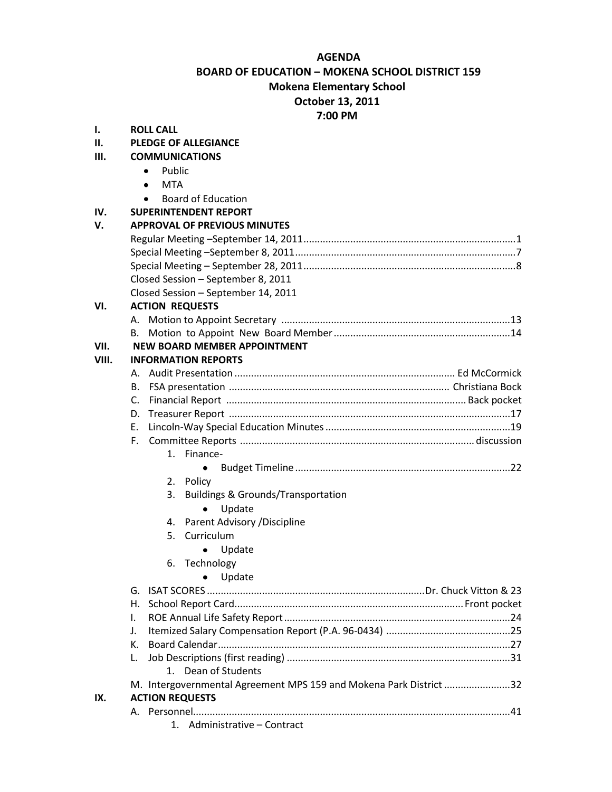## **AGENDA**

## **BOARD OF EDUCATION – MOKENA SCHOOL DISTRICT 159 Mokena Elementary School**

## **October 13, 2011**

**7:00 PM**

| $\mathbf{I}$ . | <b>ROLL CALL</b>                                                   |  |  |  |  |
|----------------|--------------------------------------------------------------------|--|--|--|--|
| П.             | <b>PLEDGE OF ALLEGIANCE</b>                                        |  |  |  |  |
| Ш.             | <b>COMMUNICATIONS</b>                                              |  |  |  |  |
|                | Public<br>٠                                                        |  |  |  |  |
|                | MTA<br>$\bullet$                                                   |  |  |  |  |
|                | <b>Board of Education</b>                                          |  |  |  |  |
| IV.            | <b>SUPERINTENDENT REPORT</b>                                       |  |  |  |  |
| v.             | <b>APPROVAL OF PREVIOUS MINUTES</b>                                |  |  |  |  |
|                |                                                                    |  |  |  |  |
|                |                                                                    |  |  |  |  |
|                |                                                                    |  |  |  |  |
|                | Closed Session - September 8, 2011                                 |  |  |  |  |
|                | Closed Session - September 14, 2011                                |  |  |  |  |
| VI.            | <b>ACTION REQUESTS</b>                                             |  |  |  |  |
|                |                                                                    |  |  |  |  |
|                | В.                                                                 |  |  |  |  |
| VII.           | <b>NEW BOARD MEMBER APPOINTMENT</b>                                |  |  |  |  |
| VIII.          | <b>INFORMATION REPORTS</b>                                         |  |  |  |  |
|                | А.                                                                 |  |  |  |  |
|                | В.                                                                 |  |  |  |  |
|                |                                                                    |  |  |  |  |
|                |                                                                    |  |  |  |  |
|                | Е.                                                                 |  |  |  |  |
|                | F.                                                                 |  |  |  |  |
|                | 1. Finance-                                                        |  |  |  |  |
|                |                                                                    |  |  |  |  |
|                | 2. Policy                                                          |  |  |  |  |
|                | <b>Buildings &amp; Grounds/Transportation</b><br>3.                |  |  |  |  |
|                | Update<br>$\bullet$                                                |  |  |  |  |
|                | 4. Parent Advisory / Discipline                                    |  |  |  |  |
|                | 5. Curriculum                                                      |  |  |  |  |
|                | Update                                                             |  |  |  |  |
|                | Technology<br>6.                                                   |  |  |  |  |
|                | Update                                                             |  |  |  |  |
|                | G.                                                                 |  |  |  |  |
|                | Η.                                                                 |  |  |  |  |
|                | Ι.                                                                 |  |  |  |  |
|                | J.                                                                 |  |  |  |  |
|                | К.                                                                 |  |  |  |  |
|                | L.                                                                 |  |  |  |  |
|                | 1. Dean of Students                                                |  |  |  |  |
|                | M. Intergovernmental Agreement MPS 159 and Mokena Park District 32 |  |  |  |  |
| IX.            | <b>ACTION REQUESTS</b>                                             |  |  |  |  |
|                |                                                                    |  |  |  |  |
|                | 1. Administrative - Contract                                       |  |  |  |  |